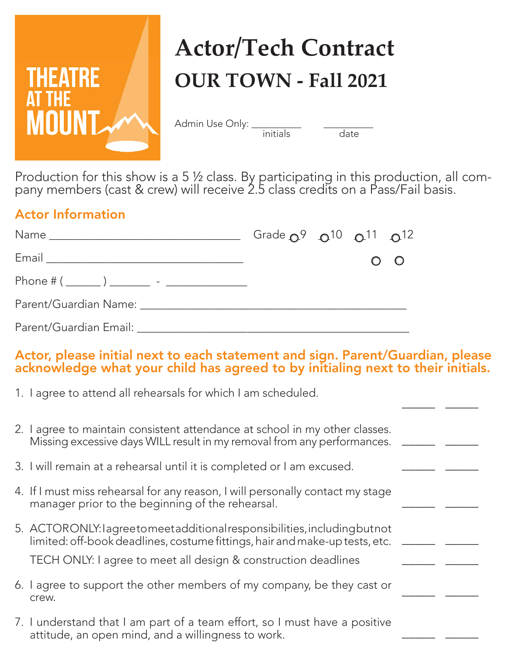

## **Actor/Tech Contract OUR TOWN - Fall 2021**

Admin Use Only:

date

\_\_\_\_\_ \_\_\_\_\_

\_\_\_\_\_ \_\_\_\_\_

\_\_\_\_\_ \_\_\_\_\_

\_\_\_\_\_ \_\_\_\_\_

\_\_\_\_\_ \_\_\_\_\_

\_\_\_\_\_ \_\_\_\_\_

\_\_\_\_\_ \_\_\_\_\_

Production for this show is a 5 ½ class. By participating in this production, all company members (cast & crew) will receive 2.5 class credits on a Pass/Fail basis.

#### Actor Information

|                                              | Grade $Q^9$ $Q^{10}$ $Q^{11}$ $Q^{12}$ |  |         |
|----------------------------------------------|----------------------------------------|--|---------|
|                                              |                                        |  | $O$ $O$ |
| Phone # ( ______ ) _______ - _______________ |                                        |  |         |
|                                              |                                        |  |         |
|                                              |                                        |  |         |

#### Actor, please initial next to each statement and sign. Parent/Guardian, please acknowledge what your child has agreed to by initialing next to their initials.

1. I agree to attend all rehearsals for which I am scheduled.

| 2. I agree to maintain consistent attendance at school in my other classes. |  |
|-----------------------------------------------------------------------------|--|
| Missing excessive days WILL result in my removal from any performances.     |  |

- 3. I will remain at a rehearsal until it is completed or I am excused.
- 4. If I must miss rehearsal for any reason, I will personally contact my stage manager prior to the beginning of the rehearsal.
- 5. ACTOR ONLY: I agree to meet additional responsibilities, including but not limited: off-book deadlines, costume fittings, hair and make-up tests, etc.

TECH ONLY: I agree to meet all design & construction deadlines

- 6. I agree to support the other members of my company, be they cast or crew.
- 7. I understand that I am part of a team effort, so I must have a positive attitude, an open mind, and a willingness to work.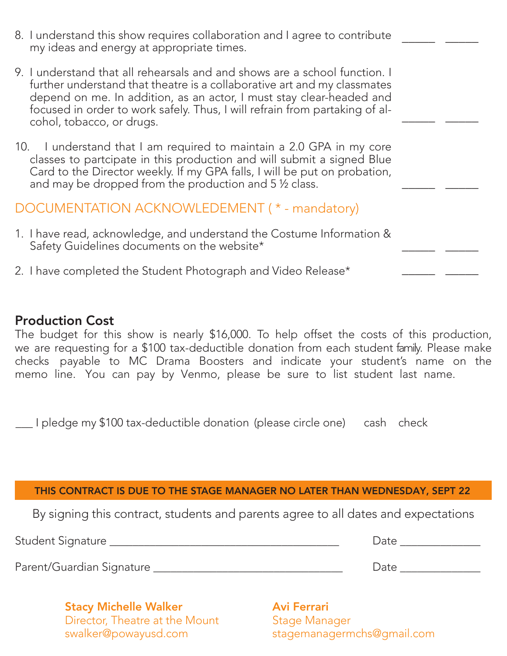| 8. I understand this show requires collaboration and I agree to contribute<br>my ideas and energy at appropriate times.                                                                                                                                                                                                                    |  |
|--------------------------------------------------------------------------------------------------------------------------------------------------------------------------------------------------------------------------------------------------------------------------------------------------------------------------------------------|--|
| 9. I understand that all rehearsals and and shows are a school function. I<br>further understand that theatre is a collaborative art and my classmates<br>depend on me. In addition, as an actor, I must stay clear-headed and<br>focused in order to work safely. Thus, I will refrain from partaking of al-<br>cohol, tobacco, or drugs. |  |
| 10. I understand that I am required to maintain a 2.0 GPA in my core<br>classes to partcipate in this production and will submit a signed Blue<br>Card to the Director weekly. If my GPA falls, I will be put on probation,<br>and may be dropped from the production and 5 1/2 class.                                                     |  |
| DOCUMENTATION ACKNOWLEDEMENT (* - mandatory)                                                                                                                                                                                                                                                                                               |  |
| 1. I have read, acknowledge, and understand the Costume Information &<br>Safety Guidelines documents on the website*                                                                                                                                                                                                                       |  |
| 2. I have completed the Student Photograph and Video Release*                                                                                                                                                                                                                                                                              |  |

#### Production Cost

The budget for this show is nearly \$16,000. To help offset the costs of this production, we are requesting for a \$100 tax-deductible donation from each student family. Please make checks payable to MC Drama Boosters and indicate your student's name on the memo line. You can pay by Venmo, please be sure to list student last name.

\_\_\_I pledge my \$100 tax-deductible donation (please circle one) cash check

#### THIS CONTRACT IS DUE TO THE STAGE MANAGER NO LATER THAN WEDNESDAY, SEPT 22

By signing this contract, students and parents agree to all dates and expectations

Student Signature \_\_\_\_\_\_\_\_\_\_\_\_\_\_\_\_\_\_\_\_\_\_\_\_\_\_\_\_\_\_\_\_\_\_\_\_\_\_\_\_ Date \_\_\_\_\_\_\_\_\_\_\_\_\_\_

Parent/Guardian Signature et al. 2016 and 2017 and 2018 and 2018 and 2018 and 2018 and 2018 and 2018 and 2018

Stacy Michelle Walker Director, Theatre at the Mount swalker@powayusd.com

Avi Ferrari Stage Manager stagemanagermchs@gmail.com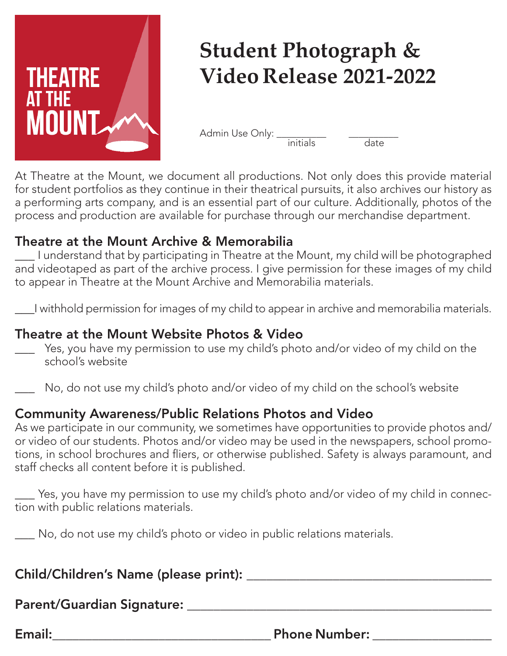

## **Student Photograph & Video Release 2021-2022**

Admin Use Only:  $\frac{1}{\frac{1}{\frac{1}{\sqrt{1}}}}$  ate

At Theatre at the Mount, we document all productions. Not only does this provide material for student portfolios as they continue in their theatrical pursuits, it also archives our history as a performing arts company, and is an essential part of our culture. Additionally, photos of the process and production are available for purchase through our merchandise department.

#### Theatre at the Mount Archive & Memorabilia

\_\_\_ I understand that by participating in Theatre at the Mount, my child will be photographed and videotaped as part of the archive process. I give permission for these images of my child to appear in Theatre at the Mount Archive and Memorabilia materials.

\_\_\_I withhold permission for images of my child to appear in archive and memorabilia materials.

#### Theatre at the Mount Website Photos & Video

- \_\_\_ Yes, you have my permission to use my child's photo and/or video of my child on the school's website
- No, do not use my child's photo and/or video of my child on the school's website

#### Community Awareness/Public Relations Photos and Video

As we participate in our community, we sometimes have opportunities to provide photos and/ or video of our students. Photos and/or video may be used in the newspapers, school promotions, in school brochures and fliers, or otherwise published. Safety is always paramount, and staff checks all content before it is published.

\_\_\_ Yes, you have my permission to use my child's photo and/or video of my child in connection with public relations materials.

No, do not use my child's photo or video in public relations materials.

#### Child/Children's Name (please print): \_\_\_\_\_\_\_\_\_\_\_\_\_\_\_\_\_\_\_\_\_\_\_\_\_\_\_\_\_\_\_\_\_\_\_\_\_

Parent/Guardian Signature:

Email: Email: Email: Email: Email: Email: Email:  $\blacksquare$